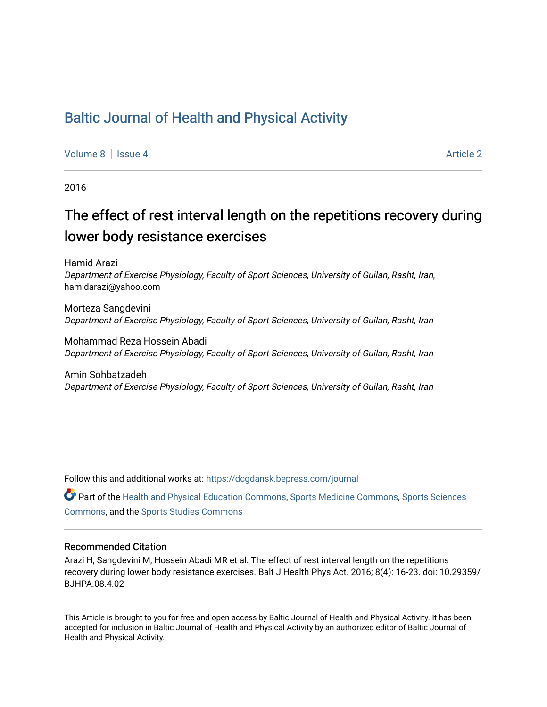## [Baltic Journal of Health and Physical Activity](https://dcgdansk.bepress.com/journal)

[Volume 8](https://dcgdansk.bepress.com/journal/vol8) | [Issue 4](https://dcgdansk.bepress.com/journal/vol8/iss4) Article 2

2016

# The effect of rest interval length on the repetitions recovery during lower body resistance exercises

Hamid Arazi Department of Exercise Physiology, Faculty of Sport Sciences, University of Guilan, Rasht, Iran, hamidarazi@yahoo.com

Morteza Sangdevini Department of Exercise Physiology, Faculty of Sport Sciences, University of Guilan, Rasht, Iran

Mohammad Reza Hossein Abadi Department of Exercise Physiology, Faculty of Sport Sciences, University of Guilan, Rasht, Iran

Amin Sohbatzadeh Department of Exercise Physiology, Faculty of Sport Sciences, University of Guilan, Rasht, Iran

Follow this and additional works at: [https://dcgdansk.bepress.com/journal](https://dcgdansk.bepress.com/journal?utm_source=dcgdansk.bepress.com%2Fjournal%2Fvol8%2Fiss4%2F2&utm_medium=PDF&utm_campaign=PDFCoverPages)

Part of the [Health and Physical Education Commons](http://network.bepress.com/hgg/discipline/1327?utm_source=dcgdansk.bepress.com%2Fjournal%2Fvol8%2Fiss4%2F2&utm_medium=PDF&utm_campaign=PDFCoverPages), [Sports Medicine Commons,](http://network.bepress.com/hgg/discipline/1331?utm_source=dcgdansk.bepress.com%2Fjournal%2Fvol8%2Fiss4%2F2&utm_medium=PDF&utm_campaign=PDFCoverPages) [Sports Sciences](http://network.bepress.com/hgg/discipline/759?utm_source=dcgdansk.bepress.com%2Fjournal%2Fvol8%2Fiss4%2F2&utm_medium=PDF&utm_campaign=PDFCoverPages) [Commons](http://network.bepress.com/hgg/discipline/759?utm_source=dcgdansk.bepress.com%2Fjournal%2Fvol8%2Fiss4%2F2&utm_medium=PDF&utm_campaign=PDFCoverPages), and the [Sports Studies Commons](http://network.bepress.com/hgg/discipline/1198?utm_source=dcgdansk.bepress.com%2Fjournal%2Fvol8%2Fiss4%2F2&utm_medium=PDF&utm_campaign=PDFCoverPages) 

### Recommended Citation

Arazi H, Sangdevini M, Hossein Abadi MR et al. The effect of rest interval length on the repetitions recovery during lower body resistance exercises. Balt J Health Phys Act. 2016; 8(4): 16-23. doi: 10.29359/ BJHPA.08.4.02

This Article is brought to you for free and open access by Baltic Journal of Health and Physical Activity. It has been accepted for inclusion in Baltic Journal of Health and Physical Activity by an authorized editor of Baltic Journal of Health and Physical Activity.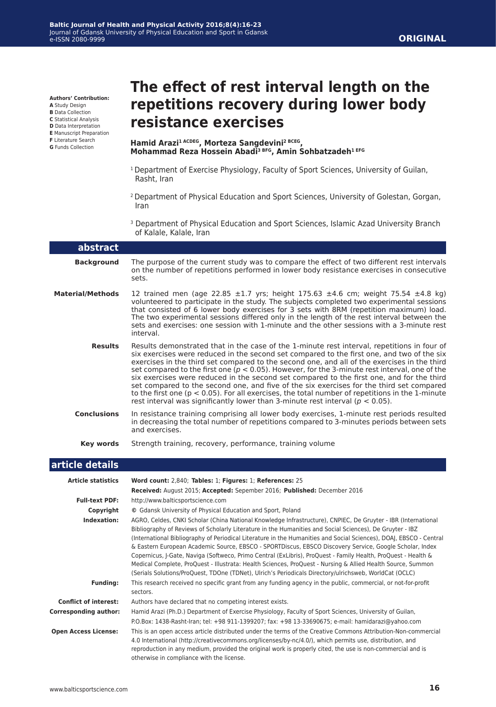**Authors' Contribution:**

**A** Study Design

- **B** Data Collection
- **C** Statistical Analysis
- **D** Data Interpretation **E** Manuscript Preparation
- **F** Literature Search
- **G** Funds Collection

## **The effect of rest interval length on the repetitions recovery during lower body resistance exercises**

#### **Hamid Arazi1 ACDEG, Morteza Sangdevini2 BCEG, Mohammad Reza Hossein Abadi3 BFG, Amin Sohbatzadeh1 EFG**

- <sup>1</sup> Department of Exercise Physiology, Faculty of Sport Sciences, University of Guilan, Rasht, Iran
- 2 Department of Physical Education and Sport Sciences, University of Golestan, Gorgan, Iran
- 3 Department of Physical Education and Sport Sciences, Islamic Azad University Branch of Kalale, Kalale, Iran

| abstract                     |                                                                                                                                                                                                                                                                                                                                                                                                                                                                                                                                                                                                                                                                                                                                                                                                      |  |  |  |  |
|------------------------------|------------------------------------------------------------------------------------------------------------------------------------------------------------------------------------------------------------------------------------------------------------------------------------------------------------------------------------------------------------------------------------------------------------------------------------------------------------------------------------------------------------------------------------------------------------------------------------------------------------------------------------------------------------------------------------------------------------------------------------------------------------------------------------------------------|--|--|--|--|
| <b>Background</b>            | The purpose of the current study was to compare the effect of two different rest intervals<br>on the number of repetitions performed in lower body resistance exercises in consecutive<br>sets.                                                                                                                                                                                                                                                                                                                                                                                                                                                                                                                                                                                                      |  |  |  |  |
| <b>Material/Methods</b>      | 12 trained men (age 22.85 ±1.7 yrs; height 175.63 ±4.6 cm; weight 75.54 ±4.8 kg)<br>volunteered to participate in the study. The subjects completed two experimental sessions<br>that consisted of 6 lower body exercises for 3 sets with 8RM (repetition maximum) load.<br>The two experimental sessions differed only in the length of the rest interval between the<br>sets and exercises: one session with 1-minute and the other sessions with a 3-minute rest<br>interval.                                                                                                                                                                                                                                                                                                                     |  |  |  |  |
| <b>Results</b>               | Results demonstrated that in the case of the 1-minute rest interval, repetitions in four of<br>six exercises were reduced in the second set compared to the first one, and two of the six<br>exercises in the third set compared to the second one, and all of the exercises in the third<br>set compared to the first one ( $p < 0.05$ ). However, for the 3-minute rest interval, one of the<br>six exercises were reduced in the second set compared to the first one, and for the third<br>set compared to the second one, and five of the six exercises for the third set compared<br>to the first one ( $p < 0.05$ ). For all exercises, the total number of repetitions in the 1-minute<br>rest interval was significantly lower than 3-minute rest interval ( $p < 0.05$ ).                  |  |  |  |  |
| <b>Conclusions</b>           | In resistance training comprising all lower body exercises, 1-minute rest periods resulted<br>in decreasing the total number of repetitions compared to 3-minutes periods between sets<br>and exercises.                                                                                                                                                                                                                                                                                                                                                                                                                                                                                                                                                                                             |  |  |  |  |
| Key words                    | Strength training, recovery, performance, training volume                                                                                                                                                                                                                                                                                                                                                                                                                                                                                                                                                                                                                                                                                                                                            |  |  |  |  |
|                              |                                                                                                                                                                                                                                                                                                                                                                                                                                                                                                                                                                                                                                                                                                                                                                                                      |  |  |  |  |
| article details              |                                                                                                                                                                                                                                                                                                                                                                                                                                                                                                                                                                                                                                                                                                                                                                                                      |  |  |  |  |
| <b>Article statistics</b>    | Word count: 2,840; Tables: 1; Figures: 1; References: 25                                                                                                                                                                                                                                                                                                                                                                                                                                                                                                                                                                                                                                                                                                                                             |  |  |  |  |
|                              | Received: August 2015; Accepted: Sepember 2016; Published: December 2016                                                                                                                                                                                                                                                                                                                                                                                                                                                                                                                                                                                                                                                                                                                             |  |  |  |  |
| <b>Full-text PDF:</b>        | http://www.balticsportscience.com                                                                                                                                                                                                                                                                                                                                                                                                                                                                                                                                                                                                                                                                                                                                                                    |  |  |  |  |
| Copyright                    | © Gdansk University of Physical Education and Sport, Poland                                                                                                                                                                                                                                                                                                                                                                                                                                                                                                                                                                                                                                                                                                                                          |  |  |  |  |
| Indexation:                  | AGRO, Celdes, CNKI Scholar (China National Knowledge Infrastructure), CNPIEC, De Gruyter - IBR (International<br>Bibliography of Reviews of Scholarly Literature in the Humanities and Social Sciences), De Gruyter - IBZ<br>(International Bibliography of Periodical Literature in the Humanities and Social Sciences), DOAJ, EBSCO - Central<br>& Eastern European Academic Source, EBSCO - SPORTDiscus, EBSCO Discovery Service, Google Scholar, Index<br>Copernicus, J-Gate, Naviga (Softweco, Primo Central (ExLibris), ProQuest - Family Health, ProQuest - Health &<br>Medical Complete, ProQuest - Illustrata: Health Sciences, ProQuest - Nursing & Allied Health Source, Summon<br>(Serials Solutions/ProQuest, TDOne (TDNet), Ulrich's Periodicals Directory/ulrichsweb, WorldCat (OCLC) |  |  |  |  |
| <b>Funding:</b>              | This research received no specific grant from any funding agency in the public, commercial, or not-for-profit<br>sectors.                                                                                                                                                                                                                                                                                                                                                                                                                                                                                                                                                                                                                                                                            |  |  |  |  |
| <b>Conflict of interest:</b> | Authors have declared that no competing interest exists.                                                                                                                                                                                                                                                                                                                                                                                                                                                                                                                                                                                                                                                                                                                                             |  |  |  |  |
| <b>Corresponding author:</b> | Hamid Arazi (Ph.D.) Department of Exercise Physiology, Faculty of Sport Sciences, University of Guilan,                                                                                                                                                                                                                                                                                                                                                                                                                                                                                                                                                                                                                                                                                              |  |  |  |  |
|                              | P.O.Box: 1438-Rasht-Iran; tel: +98 911-1399207; fax: +98 13-33690675; e-mail: hamidarazi@yahoo.com                                                                                                                                                                                                                                                                                                                                                                                                                                                                                                                                                                                                                                                                                                   |  |  |  |  |
| <b>Open Access License:</b>  | This is an open access article distributed under the terms of the Creative Commons Attribution-Non-commercial<br>4.0 International (http://creativecommons.org/licenses/by-nc/4.0/), which permits use, distribution, and<br>reproduction in any medium, provided the original work is properly cited, the use is non-commercial and is<br>otherwise in compliance with the license.                                                                                                                                                                                                                                                                                                                                                                                                                 |  |  |  |  |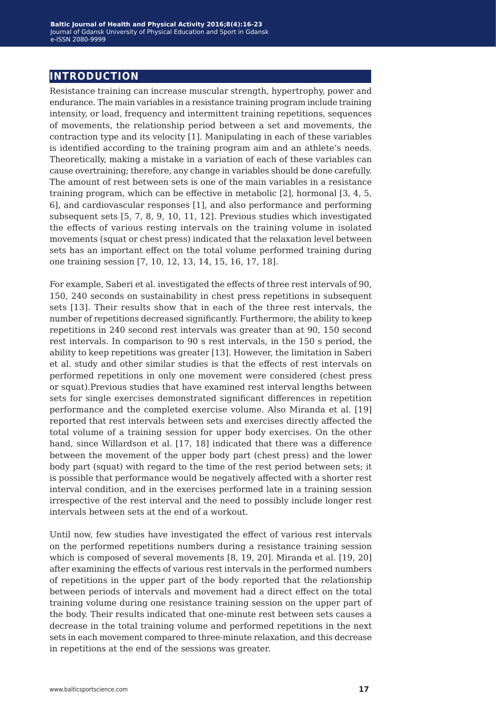## **introduction**

Resistance training can increase muscular strength, hypertrophy, power and endurance. The main variables in a resistance training program include training intensity, or load, frequency and intermittent training repetitions, sequences of movements, the relationship period between a set and movements, the contraction type and its velocity [1]. Manipulating in each of these variables is identified according to the training program aim and an athlete's needs. Theoretically, making a mistake in a variation of each of these variables can cause overtraining; therefore, any change in variables should be done carefully. The amount of rest between sets is one of the main variables in a resistance training program, which can be effective in metabolic [2], hormonal [3, 4, 5, 6], and cardiovascular responses [1], and also performance and performing subsequent sets [5, 7, 8, 9, 10, 11, 12]. Previous studies which investigated the effects of various resting intervals on the training volume in isolated movements (squat or chest press) indicated that the relaxation level between sets has an important effect on the total volume performed training during one training session [7, 10, 12, 13, 14, 15, 16, 17, 18].

For example, Saberi et al. investigated the effects of three rest intervals of 90, 150, 240 seconds on sustainability in chest press repetitions in subsequent sets [13]. Their results show that in each of the three rest intervals, the number of repetitions decreased significantly. Furthermore, the ability to keep repetitions in 240 second rest intervals was greater than at 90, 150 second rest intervals. In comparison to 90 s rest intervals, in the 150 s period, the ability to keep repetitions was greater [13]. However, the limitation in Saberi et al. study and other similar studies is that the effects of rest intervals on performed repetitions in only one movement were considered (chest press or squat).Previous studies that have examined rest interval lengths between sets for single exercises demonstrated significant differences in repetition performance and the completed exercise volume. Also Miranda et al. [19] reported that rest intervals between sets and exercises directly affected the total volume of a training session for upper body exercises. On the other hand, since Willardson et al. [17, 18] indicated that there was a difference between the movement of the upper body part (chest press) and the lower body part (squat) with regard to the time of the rest period between sets; it is possible that performance would be negatively affected with a shorter rest interval condition, and in the exercises performed late in a training session irrespective of the rest interval and the need to possibly include longer rest intervals between sets at the end of a workout.

Until now, few studies have investigated the effect of various rest intervals on the performed repetitions numbers during a resistance training session which is composed of several movements [8, 19, 20]. Miranda et al. [19, 20] after examining the effects of various rest intervals in the performed numbers of repetitions in the upper part of the body reported that the relationship between periods of intervals and movement had a direct effect on the total training volume during one resistance training session on the upper part of the body. Their results indicated that one-minute rest between sets causes a decrease in the total training volume and performed repetitions in the next sets in each movement compared to three-minute relaxation, and this decrease in repetitions at the end of the sessions was greater.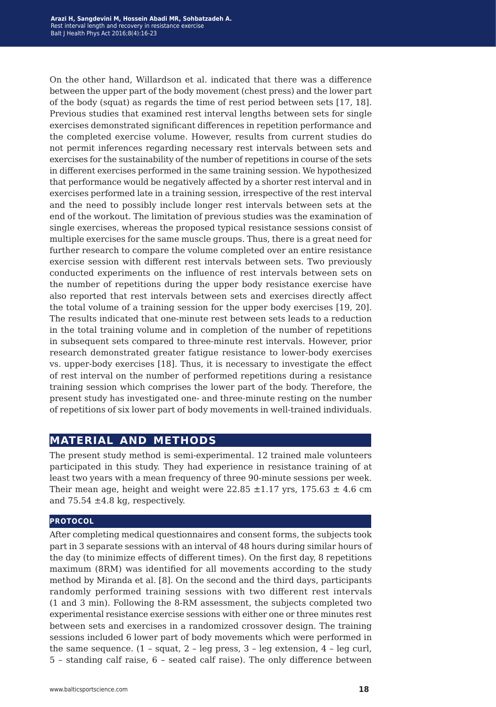On the other hand, Willardson et al. indicated that there was a difference between the upper part of the body movement (chest press) and the lower part of the body (squat) as regards the time of rest period between sets [17, 18]. Previous studies that examined rest interval lengths between sets for single exercises demonstrated significant differences in repetition performance and the completed exercise volume. However, results from current studies do not permit inferences regarding necessary rest intervals between sets and exercises for the sustainability of the number of repetitions in course of the sets in different exercises performed in the same training session. We hypothesized that performance would be negatively affected by a shorter rest interval and in exercises performed late in a training session, irrespective of the rest interval and the need to possibly include longer rest intervals between sets at the end of the workout. The limitation of previous studies was the examination of single exercises, whereas the proposed typical resistance sessions consist of multiple exercises for the same muscle groups. Thus, there is a great need for further research to compare the volume completed over an entire resistance exercise session with different rest intervals between sets. Two previously conducted experiments on the influence of rest intervals between sets on the number of repetitions during the upper body resistance exercise have also reported that rest intervals between sets and exercises directly affect the total volume of a training session for the upper body exercises [19, 20]. The results indicated that one-minute rest between sets leads to a reduction in the total training volume and in completion of the number of repetitions in subsequent sets compared to three-minute rest intervals. However, prior research demonstrated greater fatigue resistance to lower-body exercises vs. upper-body exercises [18]. Thus, it is necessary to investigate the effect of rest interval on the number of performed repetitions during a resistance training session which comprises the lower part of the body. Therefore, the present study has investigated one- and three-minute resting on the number of repetitions of six lower part of body movements in well-trained individuals.

## **material and methods**

The present study method is semi-experimental. 12 trained male volunteers participated in this study. They had experience in resistance training of at least two years with a mean frequency of three 90-minute sessions per week. Their mean age, height and weight were  $22.85 \pm 1.17$  yrs,  $175.63 \pm 4.6$  cm and  $75.54 \pm 4.8$  kg, respectively.

#### **protocol**

After completing medical questionnaires and consent forms, the subjects took part in 3 separate sessions with an interval of 48 hours during similar hours of the day (to minimize effects of different times). On the first day, 8 repetitions maximum (8RM) was identified for all movements according to the study method by Miranda et al. [8]. On the second and the third days, participants randomly performed training sessions with two different rest intervals (1 and 3 min). Following the 8-RM assessment, the subjects completed two experimental resistance exercise sessions with either one or three minutes rest between sets and exercises in a randomized crossover design. The training sessions included 6 lower part of body movements which were performed in the same sequence. (1 – squat, 2 – leg press, 3 – leg extension, 4 – leg curl, 5 – standing calf raise, 6 – seated calf raise). The only difference between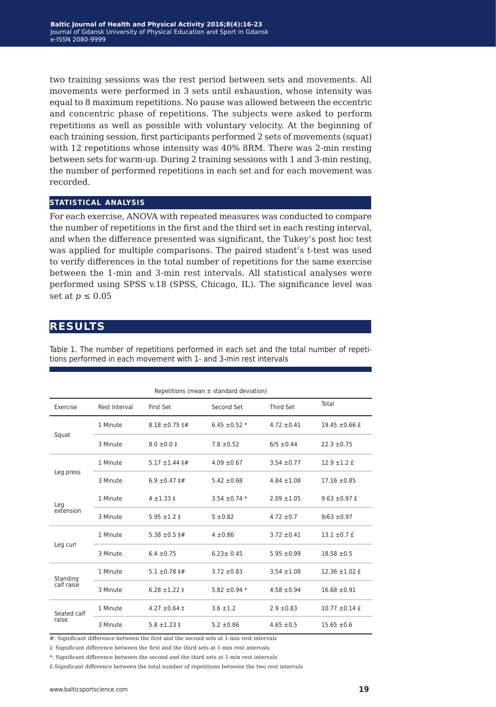two training sessions was the rest period between sets and movements. All movements were performed in 3 sets until exhaustion, whose intensity was equal to 8 maximum repetitions. No pause was allowed between the eccentric and concentric phase of repetitions. The subjects were asked to perform repetitions as well as possible with voluntary velocity. At the beginning of each training session, first participants performed 2 sets of movements (squat) with 12 repetitions whose intensity was 40% 8RM. There was 2-min resting between sets for warm-up. During 2 training sessions with 1 and 3-min resting, the number of performed repetitions in each set and for each movement was recorded.

### **statistical analysis**

For each exercise, ANOVA with repeated measures was conducted to compare the number of repetitions in the first and the third set in each resting interval, and when the difference presented was significant, the Tukey's post hoc test was applied for multiple comparisons. The paired student's t-test was used to verify differences in the total number of repetitions for the same exercise between the 1-min and 3-min rest intervals. All statistical analyses were performed using SPSS v.18 (SPSS, Chicago, IL). The significance level was set at  $p \leq 0.05$ 

## **results**

| Repetitions (mean $\pm$ standard deviation) |               |                            |                     |                 |                    |  |
|---------------------------------------------|---------------|----------------------------|---------------------|-----------------|--------------------|--|
| Exercise                                    | Rest Interval | First Set                  | Second Set          | Third Set       | Total              |  |
| Squat                                       | 1 Minute      | $8.18 \pm 0.75$ $\sharp$ # | $6.45 \pm 0.52$ *   | $4.72 \pm 0.41$ | $19.45 \pm 0.66$ £ |  |
|                                             | 3 Minute      | $8.0 \pm 0.0 \pm 1$        | $7.8 \pm 0.52$      | $6/5 \pm 0.44$  | $22.3 \pm 0.75$    |  |
| Leg press                                   | 1 Minute      | $5.17 \pm 1.44 \pm \#$     | $4.09 \pm 0.67$     | $3.54 \pm 0.77$ | $12.9 \pm 1.2$ £   |  |
|                                             | 3 Minute      | $6.9 \pm 0.47 \pm 4$       | $5.42 \pm 0.68$     | $4.84 \pm 1.08$ | $17.16 \pm 0.85$   |  |
| Leg<br>extension                            | 1 Minute      | $4 + 1.33 +$               | $3.54 \pm 0.74$ *   | $2.09 \pm 1.05$ | $9.63 \pm 0.97$ £  |  |
|                                             | 3 Minute      | $5.95 \pm 1.2 \pm 1.2$     | $5 \pm 0.82$        | $4.72 \pm 0.7$  | $9/63 \pm 0.97$    |  |
| Leg curl                                    | 1 Minute      | 5.38 $\pm$ 0.5 $\pm$ #     | $4 \pm 0.86$        | $3.72 \pm 0.41$ | $13.1 \pm 0.7$ £   |  |
|                                             | 3 Minute      | $6.4 \pm 0.75$             | $6.23 \pm 0.45$     | $5.95 \pm 0.99$ | $18.58 \pm 0.5$    |  |
| Standing<br>calf raise                      | 1 Minute      | $5.1 \pm 0.78$ ##          | $3.72 \pm 0.83$     | $3.54 \pm 1.08$ | $12.36 \pm 1.02$ £ |  |
|                                             | 3 Minute      | $6.28 \pm 1.22 \pm$        | 5.82 $\pm$ 0.94 $*$ | $4.58 \pm 0.94$ | $16.68 \pm 0.91$   |  |
| Seated calf<br>raise                        | 1 Minute      | $4.27 \pm 0.64 \pm$        | $3.6 \pm 1.2$       | $2.9 \pm 0.83$  | $10.77 \pm 0.14$ £ |  |
|                                             | 3 Minute      | $5.8 \pm 1.23 \pm 1.23$    | $5.2 \pm 0.86$      | $4.65 \pm 0.5$  | $15.65 \pm 0.6$    |  |

Table 1. The number of repetitions performed in each set and the total number of repetitions performed in each movement with 1- and 3-min rest intervals

#: Significant difference between the first and the second sets at 1-min rest intervals

‡: Significant difference between the first and the third sets at 1-min rest intervals

\*: Significant difference between the second and the third sets at 1-min rest intervals

£:Significant difference between the total number of repetitions between the two rest intervals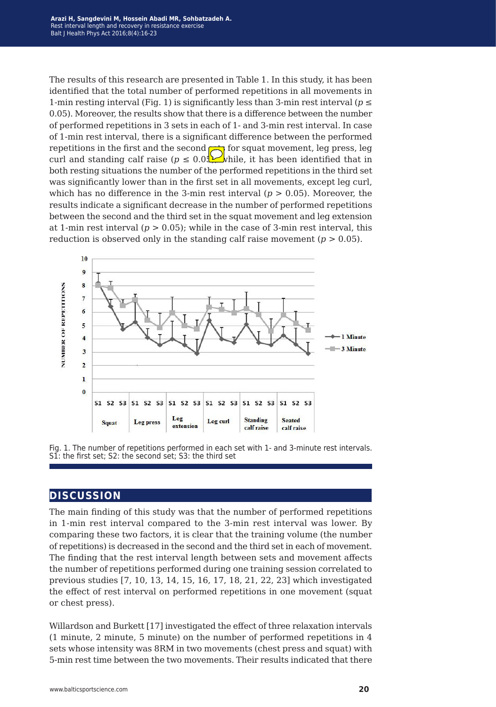The results of this research are presented in Table 1. In this study, it has been identified that the total number of performed repetitions in all movements in 1-min resting interval (Fig. 1) is significantly less than 3-min rest interval ( $p \le$ 0.05). Moreover, the results show that there is a difference between the number of performed repetitions in 3 sets in each of 1- and 3-min rest interval. In case of 1-min rest interval, there is a significant difference between the performed repetitions in the first and the second  $\mapsto$  for squat movement, leg press, leg curl and standing calf raise ( $p \leq 0.05$ ) while, it has been identified that in both resting situations the number of the performed repetitions in the third set was significantly lower than in the first set in all movements, except leg curl, which has no difference in the 3-min rest interval (*p* > 0.05). Moreover, the results indicate a significant decrease in the number of performed repetitions between the second and the third set in the squat movement and leg extension at 1-min rest interval  $(p > 0.05)$ ; while in the case of 3-min rest interval, this reduction is observed only in the standing calf raise movement  $(p > 0.05)$ .



Fig. 1. The number of repetitions performed in each set with 1- and 3-minute rest intervals. S1: the first set; S2: the second set; S3: the third set

## **discussion**

The main finding of this study was that the number of performed repetitions in 1-min rest interval compared to the 3-min rest interval was lower. By comparing these two factors, it is clear that the training volume (the number of repetitions) is decreased in the second and the third set in each of movement. The finding that the rest interval length between sets and movement affects the number of repetitions performed during one training session correlated to previous studies [7, 10, 13, 14, 15, 16, 17, 18, 21, 22, 23] which investigated the effect of rest interval on performed repetitions in one movement (squat or chest press).

Willardson and Burkett [17] investigated the effect of three relaxation intervals (1 minute, 2 minute, 5 minute) on the number of performed repetitions in 4 sets whose intensity was 8RM in two movements (chest press and squat) with 5-min rest time between the two movements. Their results indicated that there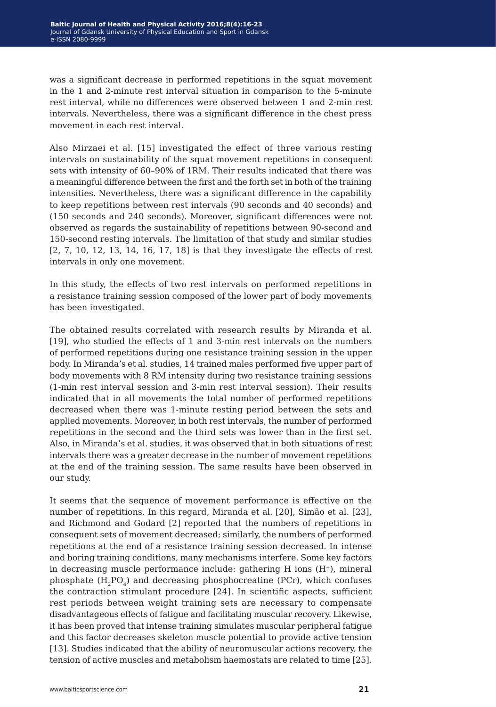was a significant decrease in performed repetitions in the squat movement in the 1 and 2-minute rest interval situation in comparison to the 5-minute rest interval, while no differences were observed between 1 and 2-min rest intervals. Nevertheless, there was a significant difference in the chest press movement in each rest interval.

Also Mirzaei et al. [15] investigated the effect of three various resting intervals on sustainability of the squat movement repetitions in consequent sets with intensity of 60–90% of 1RM. Their results indicated that there was a meaningful difference between the first and the forth set in both of the training intensities. Nevertheless, there was a significant difference in the capability to keep repetitions between rest intervals (90 seconds and 40 seconds) and (150 seconds and 240 seconds). Moreover, significant differences were not observed as regards the sustainability of repetitions between 90-second and 150-second resting intervals. The limitation of that study and similar studies [2, 7, 10, 12, 13, 14, 16, 17, 18] is that they investigate the effects of rest intervals in only one movement.

In this study, the effects of two rest intervals on performed repetitions in a resistance training session composed of the lower part of body movements has been investigated.

The obtained results correlated with research results by Miranda et al. [19], who studied the effects of 1 and 3-min rest intervals on the numbers of performed repetitions during one resistance training session in the upper body. In Miranda's et al. studies, 14 trained males performed five upper part of body movements with 8 RM intensity during two resistance training sessions (1-min rest interval session and 3-min rest interval session). Their results indicated that in all movements the total number of performed repetitions decreased when there was 1-minute resting period between the sets and applied movements. Moreover, in both rest intervals, the number of performed repetitions in the second and the third sets was lower than in the first set. Also, in Miranda's et al. studies, it was observed that in both situations of rest intervals there was a greater decrease in the number of movement repetitions at the end of the training session. The same results have been observed in our study.

It seems that the sequence of movement performance is effective on the number of repetitions. In this regard, Miranda et al. [20], Simão et al. [23], and Richmond and Godard [2] reported that the numbers of repetitions in consequent sets of movement decreased; similarly, the numbers of performed repetitions at the end of a resistance training session decreased. In intense and boring training conditions, many mechanisms interfere. Some key factors in decreasing muscle performance include: gathering H ions (H+), mineral phosphate  $(H_2PO_4)$  and decreasing phosphocreatine (PCr), which confuses the contraction stimulant procedure [24]. In scientific aspects, sufficient rest periods between weight training sets are necessary to compensate disadvantageous effects of fatigue and facilitating muscular recovery. Likewise, it has been proved that intense training simulates muscular peripheral fatigue and this factor decreases skeleton muscle potential to provide active tension [13]. Studies indicated that the ability of neuromuscular actions recovery, the tension of active muscles and metabolism haemostats are related to time [25].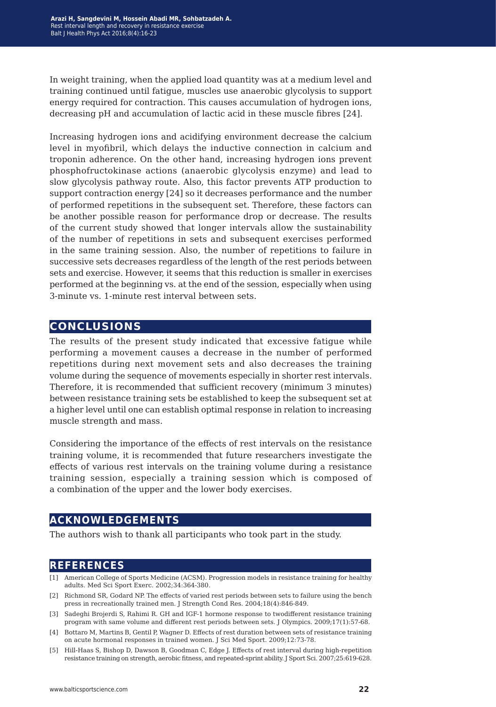In weight training, when the applied load quantity was at a medium level and training continued until fatigue, muscles use anaerobic glycolysis to support energy required for contraction. This causes accumulation of hydrogen ions, decreasing pH and accumulation of lactic acid in these muscle fibres [24].

Increasing hydrogen ions and acidifying environment decrease the calcium level in myofibril, which delays the inductive connection in calcium and troponin adherence. On the other hand, increasing hydrogen ions prevent phosphofructokinase actions (anaerobic glycolysis enzyme) and lead to slow glycolysis pathway route. Also, this factor prevents ATP production to support contraction energy [24] so it decreases performance and the number of performed repetitions in the subsequent set. Therefore, these factors can be another possible reason for performance drop or decrease. The results of the current study showed that longer intervals allow the sustainability of the number of repetitions in sets and subsequent exercises performed in the same training session. Also, the number of repetitions to failure in successive sets decreases regardless of the length of the rest periods between sets and exercise. However, it seems that this reduction is smaller in exercises performed at the beginning vs. at the end of the session, especially when using 3-minute vs. 1-minute rest interval between sets.

## **conclusions**

The results of the present study indicated that excessive fatigue while performing a movement causes a decrease in the number of performed repetitions during next movement sets and also decreases the training volume during the sequence of movements especially in shorter rest intervals. Therefore, it is recommended that sufficient recovery (minimum 3 minutes) between resistance training sets be established to keep the subsequent set at a higher level until one can establish optimal response in relation to increasing muscle strength and mass.

Considering the importance of the effects of rest intervals on the resistance training volume, it is recommended that future researchers investigate the effects of various rest intervals on the training volume during a resistance training session, especially a training session which is composed of a combination of the upper and the lower body exercises.

## **acknowledgements**

The authors wish to thank all participants who took part in the study.

## **references**

- [1] American College of Sports Medicine (ACSM). Progression models in resistance training for healthy adults. Med Sci Sport Exerc. 2002;34:364-380.
- [2] Richmond SR, Godard NP. The effects of varied rest periods between sets to failure using the bench press in recreationally trained men. J Strength Cond Res. 2004;18(4):846-849.
- [3] Sadeghi Brojerdi S, Rahimi R. GH and IGF-1 hormone response to twodifferent resistance training program with same volume and different rest periods between sets. J Olympics. 2009;17(1):57-68.
- [4] Bottaro M, Martins B, Gentil P, Wagner D. Effects of rest duration between sets of resistance training on acute hormonal responses in trained women. J Sci Med Sport. 2009;12:73-78.
- [5] Hill-Haas S, Bishop D, Dawson B, Goodman C, Edge J. Effects of rest interval during high-repetition resistance training on strength, aerobic fitness, and repeated-sprint ability. J Sport Sci. 2007;25:619-628.